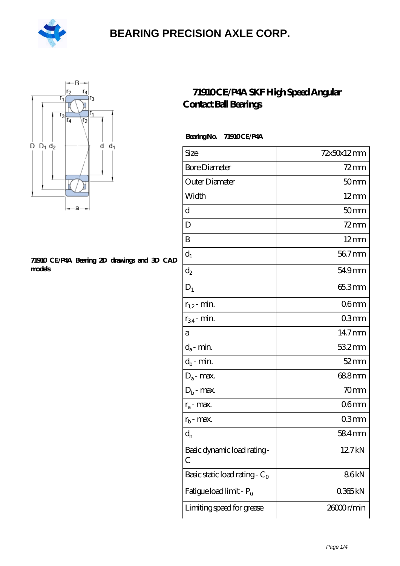



#### **[71910 CE/P4A Bearing 2D drawings and 3D CAD](https://m.hilalanaokulu.com/pic-660643.html) [models](https://m.hilalanaokulu.com/pic-660643.html)**

#### **[71910 CE/P4A SKF High Speed Angular](https://m.hilalanaokulu.com/skf-bearings/71910-ce-p4a.html) [Contact Ball Bearings](https://m.hilalanaokulu.com/skf-bearings/71910-ce-p4a.html)**

 **Bearing No. 71910 CE/P4A**

| Size                             | 72x50x12mm       |
|----------------------------------|------------------|
| <b>Bore Diameter</b>             | $72$ mm          |
| Outer Diameter                   | 50 <sub>mm</sub> |
| Width                            | $12 \text{mm}$   |
| d                                | 50 <sub>mm</sub> |
| D                                | $72$ mm          |
| Β                                | $12 \text{mm}$   |
| $d_1$                            | 567mm            |
| $d_2$                            | 54.9mm           |
| $D_1$                            | 65.3mm           |
| $r_{1,2}$ - min.                 | 06 <sub>mm</sub> |
| $r_{34}$ - min.                  | 03mm             |
| a                                | 14.7mm           |
| $d_a$ - min.                     | 532mm            |
| $d_b$ - min.                     | $52$ mm          |
| $D_a$ - max.                     | 688mm            |
| $D_b$ - max.                     | 70 <sub>mm</sub> |
| $r_a$ - max.                     | 06 <sub>mm</sub> |
| $r_{\rm b}$ - max.               | 03mm             |
| $\mathrm{d}_{\mathrm{n}}$        | 584mm            |
| Basic dynamic load rating-<br>С  | 127kN            |
| Basic static load rating - $C_0$ | 86kN             |
| Fatigue load limit - Pu          | 0365kN           |
| Limiting speed for grease        | 26000r/min       |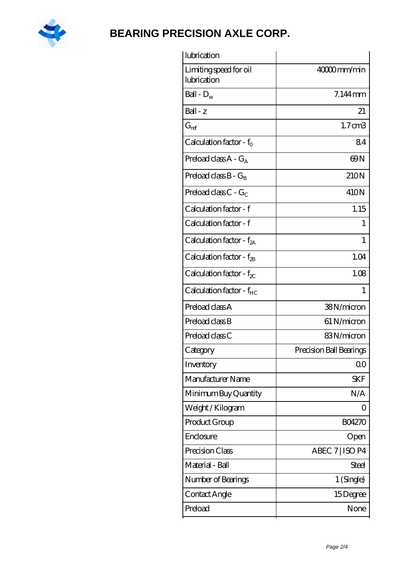

| lubrication                           |                         |
|---------------------------------------|-------------------------|
| Limiting speed for oil<br>lubrication | 40000mm/min             |
| Ball - $D_w$                          | 7.144mm                 |
| Ball - z                              | 21                      |
| $G_{ref}$                             | 1.7cm3                  |
| Calculation factor - $f_0$            | 84                      |
| Preload class $A - G_A$               | 69N                     |
| Preload class $B - G_R$               | 210N                    |
| Preload class $C - G_C$               | 410N                    |
| Calculation factor - f                | 1.15                    |
| Calculation factor - f                | 1                       |
| Calculation factor - $f_{2A}$         | 1                       |
| Calculation factor - $f_{\rm 2B}$     | 1.04                    |
| Calculation factor - $f_{\chi}$       | 1.08                    |
| Calculation factor - $f_{HC}$         | $\mathbf{1}$            |
| Preload class A                       | 38N/micron              |
| Preload class B                       | 61 N/micron             |
| Preload class C                       | 83N/micron              |
| Category                              | Precision Ball Bearings |
| Inventory                             | 0 <sup>0</sup>          |
| Manufacturer Name                     | <b>SKF</b>              |
| Minimum Buy Quantity                  | N/A                     |
| Weight / Kilogram                     | $\overline{0}$          |
| Product Group                         | <b>BO4270</b>           |
| Enclosure                             | Open                    |
| Precision Class                       | ABEC 7   ISO P4         |
| Material - Ball                       | <b>Steel</b>            |
| Number of Bearings                    | 1 (Single)              |
| Contact Angle                         | 15Degree                |
| Preload                               | None                    |
|                                       |                         |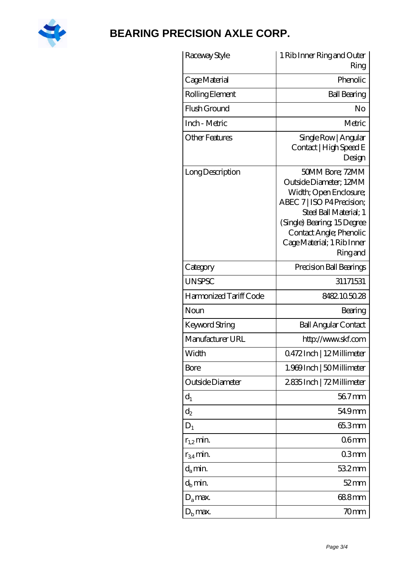

| Raceway Style          | 1 Rib Inner Ring and Outer<br>Ring                                                                                                                                                                                           |
|------------------------|------------------------------------------------------------------------------------------------------------------------------------------------------------------------------------------------------------------------------|
| Cage Material          | Phenolic                                                                                                                                                                                                                     |
| Rolling Element        | <b>Ball Bearing</b>                                                                                                                                                                                                          |
| Flush Ground           | No                                                                                                                                                                                                                           |
| Inch - Metric          | Metric                                                                                                                                                                                                                       |
| <b>Other Features</b>  | Single Row   Angular<br>Contact   High Speed E<br>Design                                                                                                                                                                     |
| Long Description       | 50MM Bore; 72MM<br>Outside Diameter; 12MM<br>Width; Open Enclosure;<br>ABEC 7   ISO P4 Precision;<br>Steel Ball Material: 1<br>(Single) Bearing 15Degree<br>Contact Angle; Phenolic<br>Cage Material; 1 Rib Inner<br>Ringand |
| Category               | Precision Ball Bearings                                                                                                                                                                                                      |
| <b>UNSPSC</b>          | 31171531                                                                                                                                                                                                                     |
| Harmonized Tariff Code | 8482105028                                                                                                                                                                                                                   |
| Noun                   | Bearing                                                                                                                                                                                                                      |
| <b>Keyword String</b>  | <b>Ball Angular Contact</b>                                                                                                                                                                                                  |
| Manufacturer URL       | http://www.skf.com                                                                                                                                                                                                           |
| Width                  | 0.472Inch   1.2Millimeter                                                                                                                                                                                                    |
| Bore                   | 1.969 Inch   50 Millimeter                                                                                                                                                                                                   |
| Outside Diameter       | 2835Inch   72Millimeter                                                                                                                                                                                                      |
| $d_1$                  | 567mm                                                                                                                                                                                                                        |
| $\mathrm{d}_2$         | 54.9mm                                                                                                                                                                                                                       |
| $D_1$                  | 65.3mm                                                                                                                                                                                                                       |
| $r_{1,2}$ min.         | 06 <sub>mm</sub>                                                                                                                                                                                                             |
| $r_{34}$ min.          | 03mm                                                                                                                                                                                                                         |
| $d_a$ min.             | $532$ mm                                                                                                                                                                                                                     |
| $d_b$ min.             | 52 mm                                                                                                                                                                                                                        |
| $D_a$ max.             | 688mm                                                                                                                                                                                                                        |
| $D_{\rm b}$ max.       | 70mm                                                                                                                                                                                                                         |